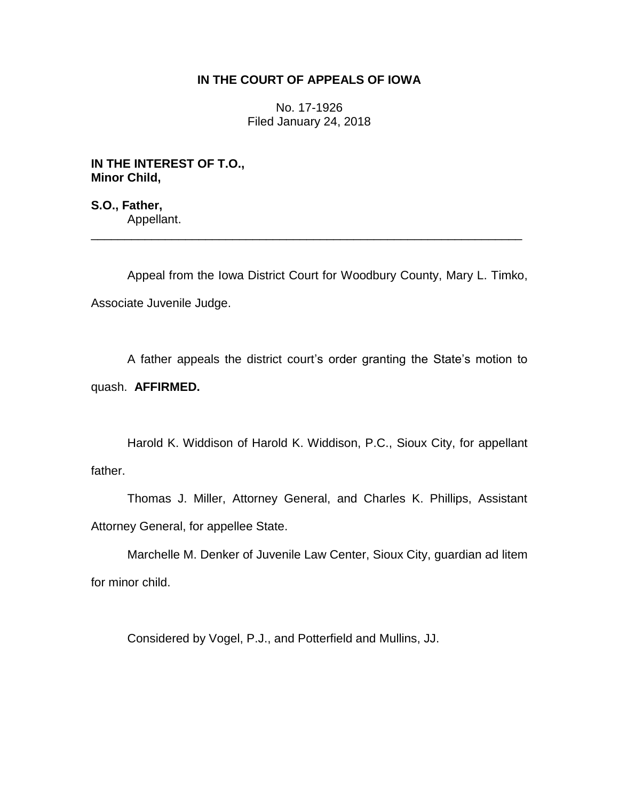## **IN THE COURT OF APPEALS OF IOWA**

No. 17-1926 Filed January 24, 2018

**IN THE INTEREST OF T.O., Minor Child,**

**S.O., Father,** Appellant.

Appeal from the Iowa District Court for Woodbury County, Mary L. Timko, Associate Juvenile Judge.

\_\_\_\_\_\_\_\_\_\_\_\_\_\_\_\_\_\_\_\_\_\_\_\_\_\_\_\_\_\_\_\_\_\_\_\_\_\_\_\_\_\_\_\_\_\_\_\_\_\_\_\_\_\_\_\_\_\_\_\_\_\_\_\_

A father appeals the district court's order granting the State's motion to quash. **AFFIRMED.**

Harold K. Widdison of Harold K. Widdison, P.C., Sioux City, for appellant father.

Thomas J. Miller, Attorney General, and Charles K. Phillips, Assistant Attorney General, for appellee State.

Marchelle M. Denker of Juvenile Law Center, Sioux City, guardian ad litem for minor child.

Considered by Vogel, P.J., and Potterfield and Mullins, JJ.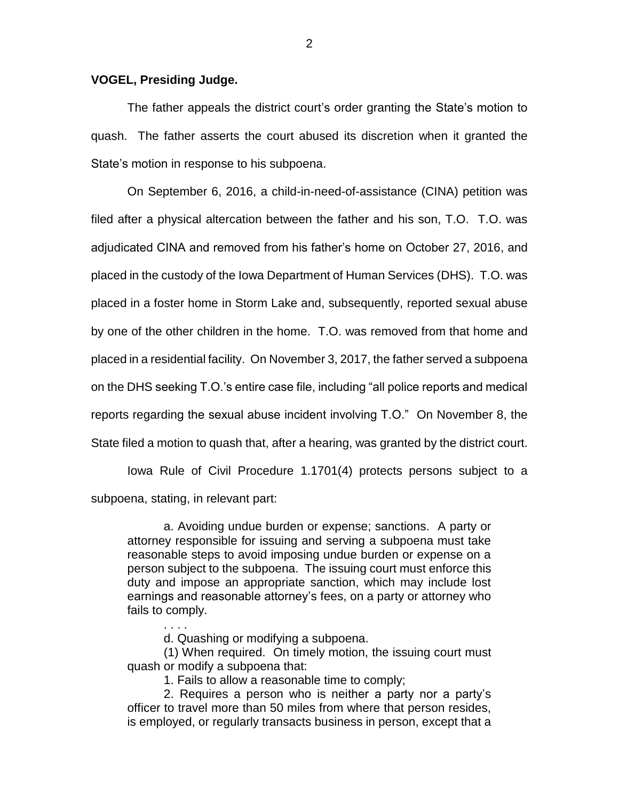## **VOGEL, Presiding Judge.**

The father appeals the district court's order granting the State's motion to quash. The father asserts the court abused its discretion when it granted the State's motion in response to his subpoena.

On September 6, 2016, a child-in-need-of-assistance (CINA) petition was filed after a physical altercation between the father and his son, T.O. T.O. was adjudicated CINA and removed from his father's home on October 27, 2016, and placed in the custody of the Iowa Department of Human Services (DHS). T.O. was placed in a foster home in Storm Lake and, subsequently, reported sexual abuse by one of the other children in the home. T.O. was removed from that home and placed in a residential facility. On November 3, 2017, the father served a subpoena on the DHS seeking T.O.'s entire case file, including "all police reports and medical reports regarding the sexual abuse incident involving T.O." On November 8, the State filed a motion to quash that, after a hearing, was granted by the district court.

Iowa Rule of Civil Procedure 1.1701(4) protects persons subject to a subpoena, stating, in relevant part:

a. Avoiding undue burden or expense; sanctions. A party or attorney responsible for issuing and serving a subpoena must take reasonable steps to avoid imposing undue burden or expense on a person subject to the subpoena. The issuing court must enforce this duty and impose an appropriate sanction, which may include lost earnings and reasonable attorney's fees, on a party or attorney who fails to comply.

d. Quashing or modifying a subpoena.

. . . .

(1) When required. On timely motion, the issuing court must quash or modify a subpoena that:

1. Fails to allow a reasonable time to comply;

2. Requires a person who is neither a party nor a party's officer to travel more than 50 miles from where that person resides, is employed, or regularly transacts business in person, except that a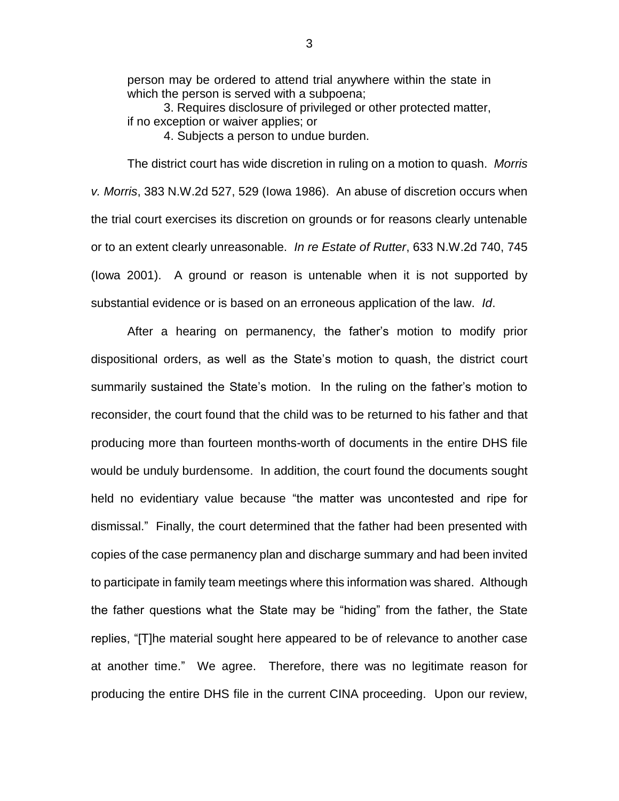person may be ordered to attend trial anywhere within the state in which the person is served with a subpoena;

3. Requires disclosure of privileged or other protected matter, if no exception or waiver applies; or

4. Subjects a person to undue burden.

The district court has wide discretion in ruling on a motion to quash. *Morris v. Morris*, 383 N.W.2d 527, 529 (Iowa 1986). An abuse of discretion occurs when the trial court exercises its discretion on grounds or for reasons clearly untenable or to an extent clearly unreasonable. *In re Estate of Rutter*, 633 N.W.2d 740, 745 (Iowa 2001). A ground or reason is untenable when it is not supported by substantial evidence or is based on an erroneous application of the law. *Id*.

After a hearing on permanency, the father's motion to modify prior dispositional orders, as well as the State's motion to quash, the district court summarily sustained the State's motion. In the ruling on the father's motion to reconsider, the court found that the child was to be returned to his father and that producing more than fourteen months-worth of documents in the entire DHS file would be unduly burdensome. In addition, the court found the documents sought held no evidentiary value because "the matter was uncontested and ripe for dismissal." Finally, the court determined that the father had been presented with copies of the case permanency plan and discharge summary and had been invited to participate in family team meetings where this information was shared. Although the father questions what the State may be "hiding" from the father, the State replies, "[T]he material sought here appeared to be of relevance to another case at another time." We agree. Therefore, there was no legitimate reason for producing the entire DHS file in the current CINA proceeding. Upon our review,